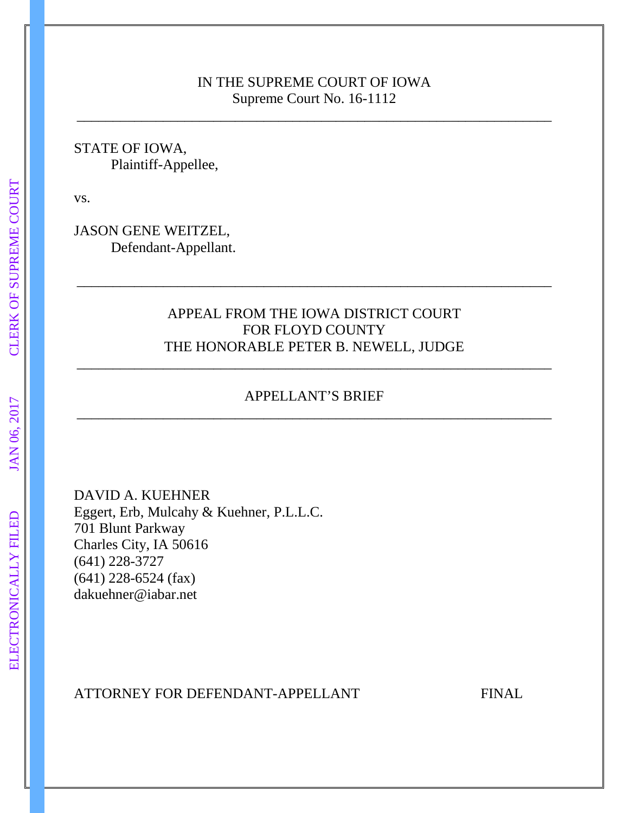## IN THE SUPREME COURT OF IOWA Supreme Court No. 16-1112

\_\_\_\_\_\_\_\_\_\_\_\_\_\_\_\_\_\_\_\_\_\_\_\_\_\_\_\_\_\_\_\_\_\_\_\_\_\_\_\_\_\_\_\_\_\_\_\_\_\_\_\_\_\_\_\_\_\_\_\_\_\_\_\_\_\_

STATE OF IOWA, Plaintiff-Appellee,

vs.

JASON GENE WEITZEL, Defendant-Appellant.

# APPEAL FROM THE IOWA DISTRICT COURT FOR FLOYD COUNTY THE HONORABLE PETER B. NEWELL, JUDGE

\_\_\_\_\_\_\_\_\_\_\_\_\_\_\_\_\_\_\_\_\_\_\_\_\_\_\_\_\_\_\_\_\_\_\_\_\_\_\_\_\_\_\_\_\_\_\_\_\_\_\_\_\_\_\_\_\_\_\_\_\_\_\_\_\_\_

# APPELLANT'S BRIEF \_\_\_\_\_\_\_\_\_\_\_\_\_\_\_\_\_\_\_\_\_\_\_\_\_\_\_\_\_\_\_\_\_\_\_\_\_\_\_\_\_\_\_\_\_\_\_\_\_\_\_\_\_\_\_\_\_\_\_\_\_\_\_\_\_\_

\_\_\_\_\_\_\_\_\_\_\_\_\_\_\_\_\_\_\_\_\_\_\_\_\_\_\_\_\_\_\_\_\_\_\_\_\_\_\_\_\_\_\_\_\_\_\_\_\_\_\_\_\_\_\_\_\_\_\_\_\_\_\_\_\_\_

DAVID A. KUEHNER Eggert, Erb, Mulcahy & Kuehner, P.L.L.C. 701 Blunt Parkway Charles City, IA 50616 (641) 228-3727 (641) 228-6524 (fax) dakuehner@iabar.net

### ATTORNEY FOR DEFENDANT-APPELLANT FINAL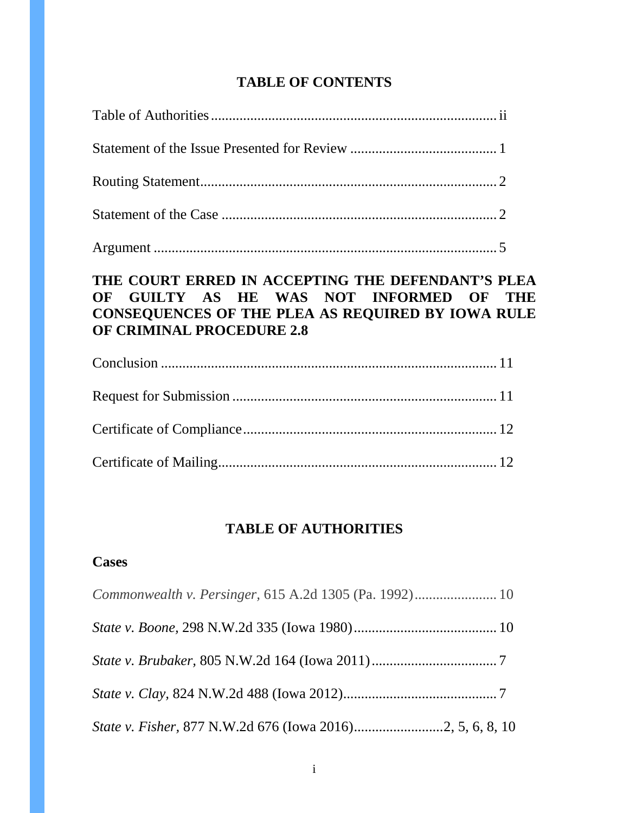# **TABLE OF CONTENTS**

| THE COURT ERRED IN ACCEPTING THE DEFENDANT'S PLEA<br>OF GUILTY AS HE WAS NOT INFORMED OF THE<br><b>CONSEQUENCES OF THE PLEA AS REQUIRED BY IOWA RULE</b><br><b>OF CRIMINAL PROCEDURE 2.8</b> |  |
|----------------------------------------------------------------------------------------------------------------------------------------------------------------------------------------------|--|
|                                                                                                                                                                                              |  |
|                                                                                                                                                                                              |  |
|                                                                                                                                                                                              |  |

|--|

# **TABLE OF AUTHORITIES**

# **Cases**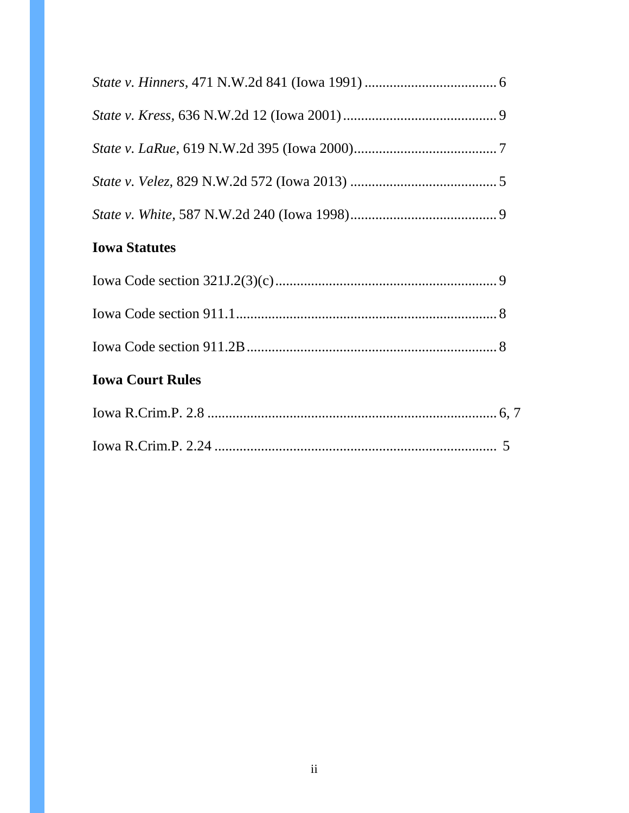| <b>Iowa Statutes</b>                     |    |  |
|------------------------------------------|----|--|
|                                          |    |  |
|                                          |    |  |
|                                          |    |  |
| <b>Iowa Court Rules</b>                  |    |  |
| $I_{\alpha W}$ R $C_{\text{rim}}$ P $28$ | 67 |  |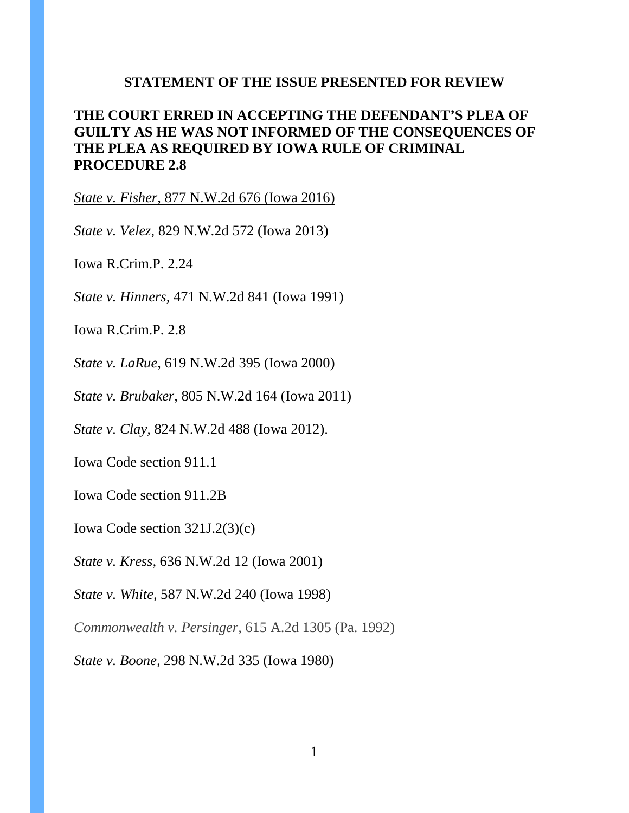#### **STATEMENT OF THE ISSUE PRESENTED FOR REVIEW**

# **THE COURT ERRED IN ACCEPTING THE DEFENDANT'S PLEA OF GUILTY AS HE WAS NOT INFORMED OF THE CONSEQUENCES OF THE PLEA AS REQUIRED BY IOWA RULE OF CRIMINAL PROCEDURE 2.8**

*State v. Fisher,* 877 N.W.2d 676 (Iowa 2016)

*State v. Velez,* 829 N.W.2d 572 (Iowa 2013)

Iowa R.Crim.P. 2.24

*State v. Hinners,* 471 N.W.2d 841 (Iowa 1991)

Iowa R.Crim.P. 2.8

*State v. LaRue*, 619 N.W.2d 395 (Iowa 2000)

*State v. Brubaker,* 805 N.W.2d 164 (Iowa 2011)

*State v. Clay,* 824 N.W.2d 488 (Iowa 2012).

Iowa Code section 911.1

Iowa Code section 911.2B

Iowa Code section 321J.2(3)(c)

*State v. Kress,* 636 N.W.2d 12 (Iowa 2001)

*State v. White,* 587 N.W.2d 240 (Iowa 1998)

*Commonwealth v. Persinger,* 615 A.2d 1305 (Pa. 1992)

*State v. Boone,* 298 N.W.2d 335 (Iowa 1980)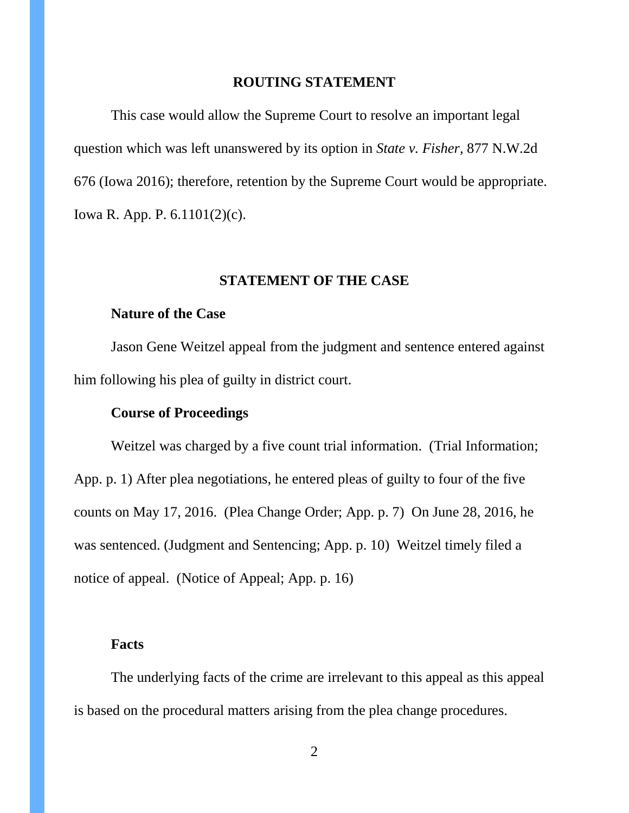#### **ROUTING STATEMENT**

This case would allow the Supreme Court to resolve an important legal question which was left unanswered by its option in *State v. Fisher,* 877 N.W.2d 676 (Iowa 2016); therefore, retention by the Supreme Court would be appropriate. Iowa R. App. P. 6.1101(2)(c).

#### **STATEMENT OF THE CASE**

#### **Nature of the Case**

Jason Gene Weitzel appeal from the judgment and sentence entered against him following his plea of guilty in district court.

#### **Course of Proceedings**

Weitzel was charged by a five count trial information. (Trial Information; App. p. 1) After plea negotiations, he entered pleas of guilty to four of the five counts on May 17, 2016. (Plea Change Order; App. p. 7) On June 28, 2016, he was sentenced. (Judgment and Sentencing; App. p. 10) Weitzel timely filed a notice of appeal. (Notice of Appeal; App. p. 16)

### **Facts**

The underlying facts of the crime are irrelevant to this appeal as this appeal is based on the procedural matters arising from the plea change procedures.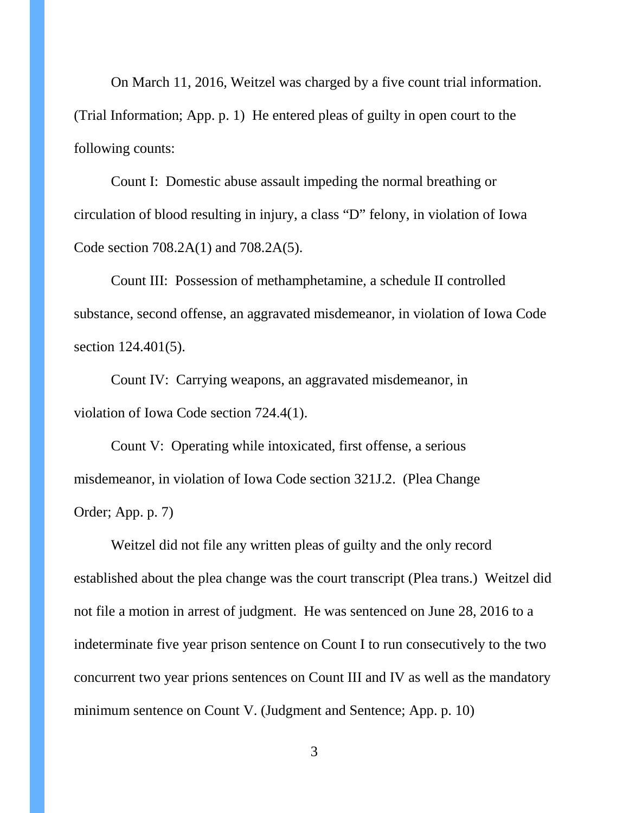On March 11, 2016, Weitzel was charged by a five count trial information. (Trial Information; App. p. 1) He entered pleas of guilty in open court to the following counts:

Count I: Domestic abuse assault impeding the normal breathing or circulation of blood resulting in injury, a class "D" felony, in violation of Iowa Code section 708.2A(1) and 708.2A(5).

Count III: Possession of methamphetamine, a schedule II controlled substance, second offense, an aggravated misdemeanor, in violation of Iowa Code section 124.401(5).

Count IV: Carrying weapons, an aggravated misdemeanor, in violation of Iowa Code section 724.4(1).

Count V: Operating while intoxicated, first offense, a serious misdemeanor, in violation of Iowa Code section 321J.2. (Plea Change Order; App. p. 7)

Weitzel did not file any written pleas of guilty and the only record established about the plea change was the court transcript (Plea trans.) Weitzel did not file a motion in arrest of judgment. He was sentenced on June 28, 2016 to a indeterminate five year prison sentence on Count I to run consecutively to the two concurrent two year prions sentences on Count III and IV as well as the mandatory minimum sentence on Count V. (Judgment and Sentence; App. p. 10)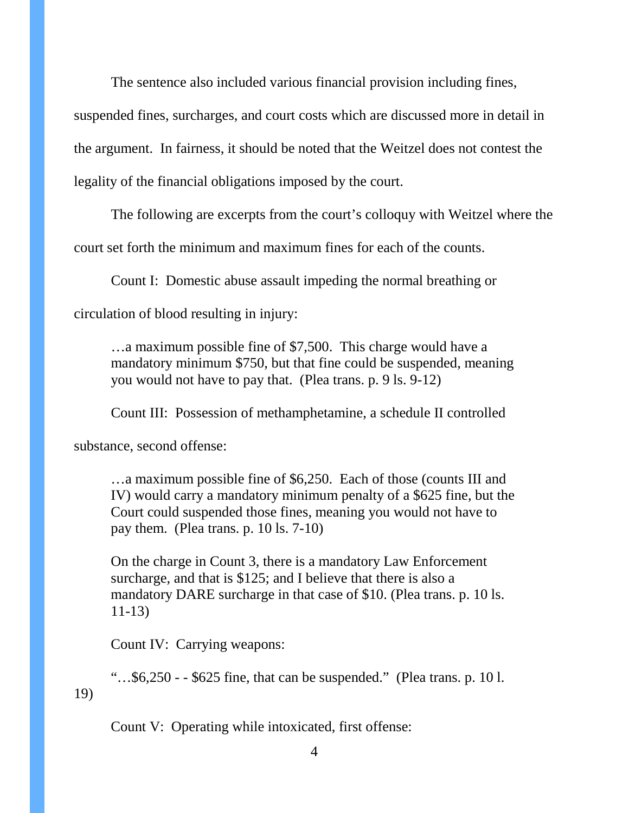The sentence also included various financial provision including fines,

suspended fines, surcharges, and court costs which are discussed more in detail in the argument. In fairness, it should be noted that the Weitzel does not contest the legality of the financial obligations imposed by the court.

The following are excerpts from the court's colloquy with Weitzel where the

court set forth the minimum and maximum fines for each of the counts.

Count I: Domestic abuse assault impeding the normal breathing or

circulation of blood resulting in injury:

…a maximum possible fine of \$7,500. This charge would have a mandatory minimum \$750, but that fine could be suspended, meaning you would not have to pay that. (Plea trans. p. 9 ls. 9-12)

Count III: Possession of methamphetamine, a schedule II controlled

substance, second offense:

…a maximum possible fine of \$6,250. Each of those (counts III and IV) would carry a mandatory minimum penalty of a \$625 fine, but the Court could suspended those fines, meaning you would not have to pay them. (Plea trans. p. 10 ls. 7-10)

On the charge in Count 3, there is a mandatory Law Enforcement surcharge, and that is \$125; and I believe that there is also a mandatory DARE surcharge in that case of \$10. (Plea trans. p. 10 ls. 11-13)

Count IV: Carrying weapons:

"…\$6,250 - - \$625 fine, that can be suspended." (Plea trans. p. 10 l. 19)

Count V: Operating while intoxicated, first offense: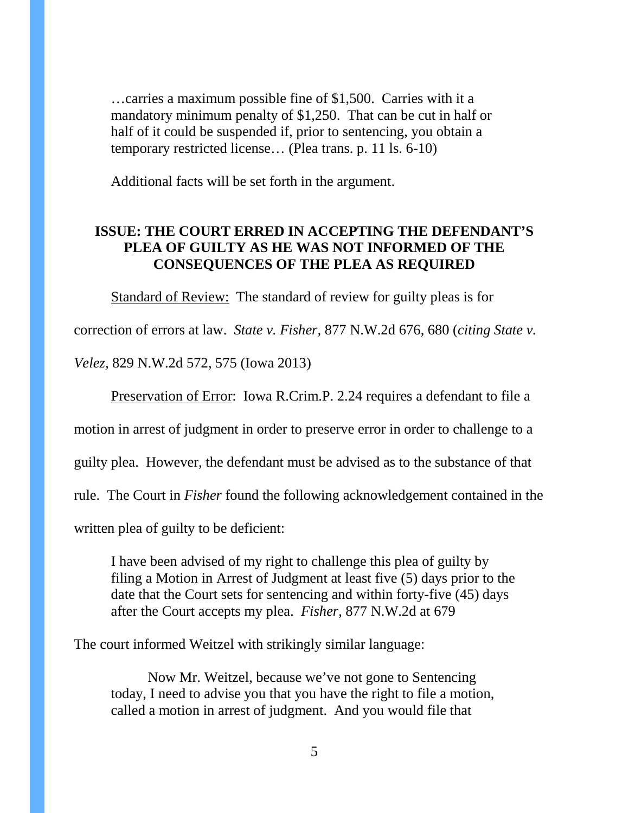…carries a maximum possible fine of \$1,500. Carries with it a mandatory minimum penalty of \$1,250. That can be cut in half or half of it could be suspended if, prior to sentencing, you obtain a temporary restricted license… (Plea trans. p. 11 ls. 6-10)

Additional facts will be set forth in the argument.

# **ISSUE: THE COURT ERRED IN ACCEPTING THE DEFENDANT'S PLEA OF GUILTY AS HE WAS NOT INFORMED OF THE CONSEQUENCES OF THE PLEA AS REQUIRED**

Standard of Review: The standard of review for guilty pleas is for

correction of errors at law. *State v. Fisher,* 877 N.W.2d 676, 680 (*citing State v.* 

*Velez,* 829 N.W.2d 572, 575 (Iowa 2013)

Preservation of Error: Iowa R.Crim.P. 2.24 requires a defendant to file a

motion in arrest of judgment in order to preserve error in order to challenge to a

guilty plea. However, the defendant must be advised as to the substance of that

rule. The Court in *Fisher* found the following acknowledgement contained in the

written plea of guilty to be deficient:

I have been advised of my right to challenge this plea of guilty by filing a Motion in Arrest of Judgment at least five (5) days prior to the date that the Court sets for sentencing and within forty-five (45) days after the Court accepts my plea. *Fisher,* 877 N.W.2d at 679

The court informed Weitzel with strikingly similar language:

Now Mr. Weitzel, because we've not gone to Sentencing today, I need to advise you that you have the right to file a motion, called a motion in arrest of judgment. And you would file that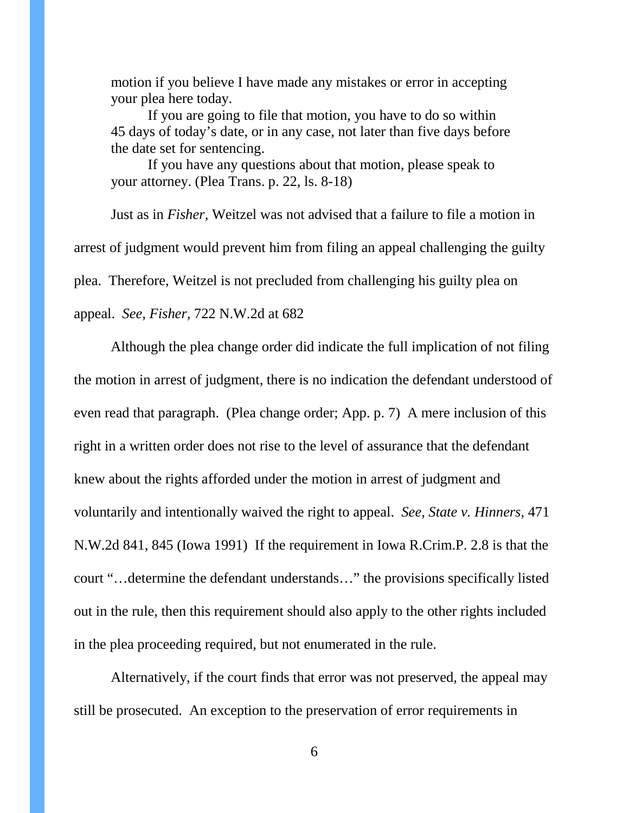motion if you believe I have made any mistakes or error in accepting your plea here today.

If you are going to file that motion, you have to do so within 45 days of today's date, or in any case, not later than five days before the date set for sentencing.

If you have any questions about that motion, please speak to your attorney. (Plea Trans. p. 22, ls. 8-18)

Just as in *Fisher,* Weitzel was not advised that a failure to file a motion in arrest of judgment would prevent him from filing an appeal challenging the guilty plea. Therefore, Weitzel is not precluded from challenging his guilty plea on appeal. *See, Fisher,* 722 N.W.2d at 682

Although the plea change order did indicate the full implication of not filing the motion in arrest of judgment, there is no indication the defendant understood of even read that paragraph. (Plea change order; App. p. 7) A mere inclusion of this right in a written order does not rise to the level of assurance that the defendant knew about the rights afforded under the motion in arrest of judgment and voluntarily and intentionally waived the right to appeal. *See, State v. Hinners,* 471 N.W.2d 841, 845 (Iowa 1991) If the requirement in Iowa R.Crim.P. 2.8 is that the court "…determine the defendant understands…" the provisions specifically listed out in the rule, then this requirement should also apply to the other rights included in the plea proceeding required, but not enumerated in the rule.

Alternatively, if the court finds that error was not preserved, the appeal may still be prosecuted. An exception to the preservation of error requirements in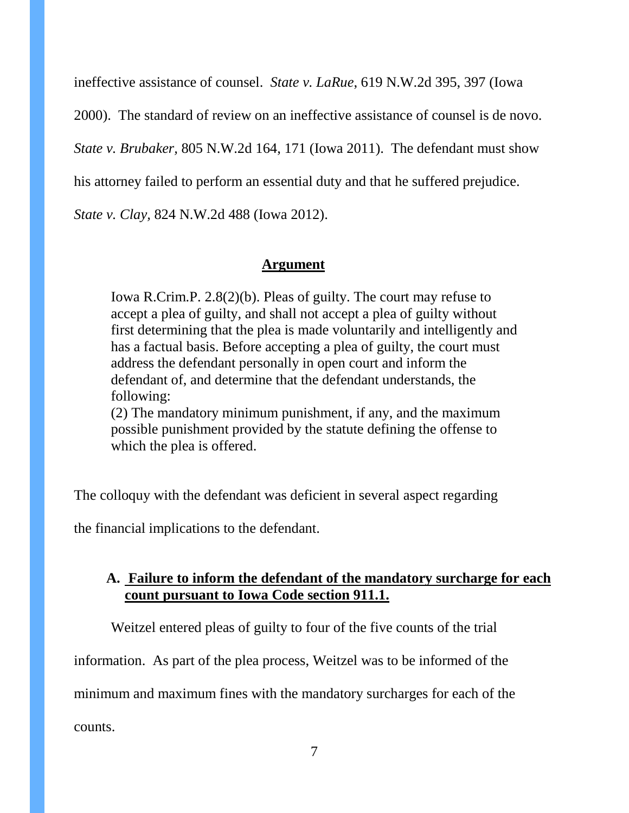ineffective assistance of counsel. *State v. LaRue*, 619 N.W.2d 395, 397 (Iowa

2000). The standard of review on an ineffective assistance of counsel is de novo.

*State v. Brubaker,* 805 N.W.2d 164, 171 (Iowa 2011). The defendant must show

his attorney failed to perform an essential duty and that he suffered prejudice.

*State v. Clay,* 824 N.W.2d 488 (Iowa 2012).

# **Argument**

Iowa R.Crim.P. 2.8(2)(b). Pleas of guilty. The court may refuse to accept a plea of guilty, and shall not accept a plea of guilty without first determining that the plea is made voluntarily and intelligently and has a factual basis. Before accepting a plea of guilty, the court must address the defendant personally in open court and inform the defendant of, and determine that the defendant understands, the following:

(2) The mandatory minimum punishment, if any, and the maximum possible punishment provided by the statute defining the offense to which the plea is offered.

The colloquy with the defendant was deficient in several aspect regarding

the financial implications to the defendant.

# **A. Failure to inform the defendant of the mandatory surcharge for each count pursuant to Iowa Code section 911.1.**

Weitzel entered pleas of guilty to four of the five counts of the trial

information. As part of the plea process, Weitzel was to be informed of the

minimum and maximum fines with the mandatory surcharges for each of the

counts.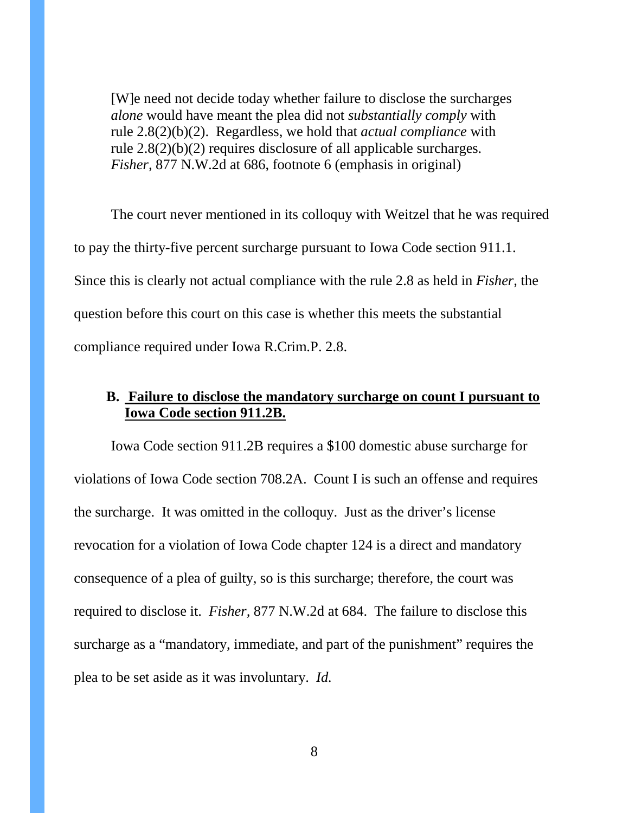[W]e need not decide today whether failure to disclose the surcharges *alone* would have meant the plea did not *substantially comply* with rule 2.8(2)(b)(2). Regardless, we hold that *actual compliance* with rule 2.8(2)(b)(2) requires disclosure of all applicable surcharges. *Fisher,* 877 N.W.2d at 686, footnote 6 (emphasis in original)

The court never mentioned in its colloquy with Weitzel that he was required to pay the thirty-five percent surcharge pursuant to Iowa Code section 911.1. Since this is clearly not actual compliance with the rule 2.8 as held in *Fisher,* the question before this court on this case is whether this meets the substantial compliance required under Iowa R.Crim.P. 2.8.

# **B. Failure to disclose the mandatory surcharge on count I pursuant to Iowa Code section 911.2B.**

Iowa Code section 911.2B requires a \$100 domestic abuse surcharge for violations of Iowa Code section 708.2A. Count I is such an offense and requires the surcharge. It was omitted in the colloquy. Just as the driver's license revocation for a violation of Iowa Code chapter 124 is a direct and mandatory consequence of a plea of guilty, so is this surcharge; therefore, the court was required to disclose it. *Fisher,* 877 N.W.2d at 684. The failure to disclose this surcharge as a "mandatory, immediate, and part of the punishment" requires the plea to be set aside as it was involuntary. *Id.*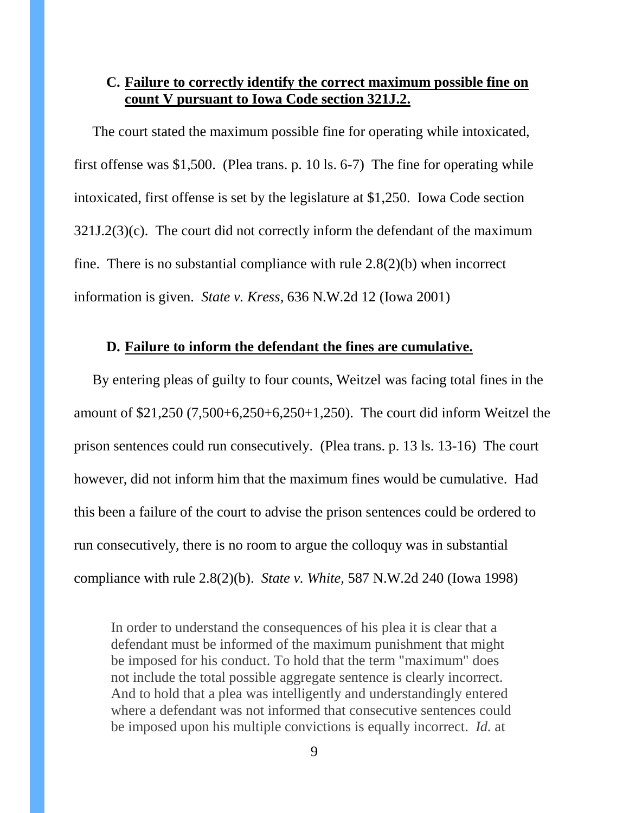# **C. Failure to correctly identify the correct maximum possible fine on count V pursuant to Iowa Code section 321J.2.**

The court stated the maximum possible fine for operating while intoxicated, first offense was \$1,500. (Plea trans. p. 10 ls. 6-7) The fine for operating while intoxicated, first offense is set by the legislature at \$1,250. Iowa Code section 321J.2(3)(c). The court did not correctly inform the defendant of the maximum fine. There is no substantial compliance with rule 2.8(2)(b) when incorrect information is given. *State v. Kress,* 636 N.W.2d 12 (Iowa 2001)

### **D. Failure to inform the defendant the fines are cumulative.**

By entering pleas of guilty to four counts, Weitzel was facing total fines in the amount of \$21,250 (7,500+6,250+6,250+1,250). The court did inform Weitzel the prison sentences could run consecutively. (Plea trans. p. 13 ls. 13-16) The court however, did not inform him that the maximum fines would be cumulative. Had this been a failure of the court to advise the prison sentences could be ordered to run consecutively, there is no room to argue the colloquy was in substantial compliance with rule 2.8(2)(b). *State v. White,* 587 N.W.2d 240 (Iowa 1998)

In order to understand the consequences of his plea it is clear that a defendant must be informed of the maximum punishment that might be imposed for his conduct. To hold that the term "maximum" does not include the total possible aggregate sentence is clearly incorrect. And to hold that a plea was intelligently and understandingly entered where a defendant was not informed that consecutive sentences could be imposed upon his multiple convictions is equally incorrect. *Id.* at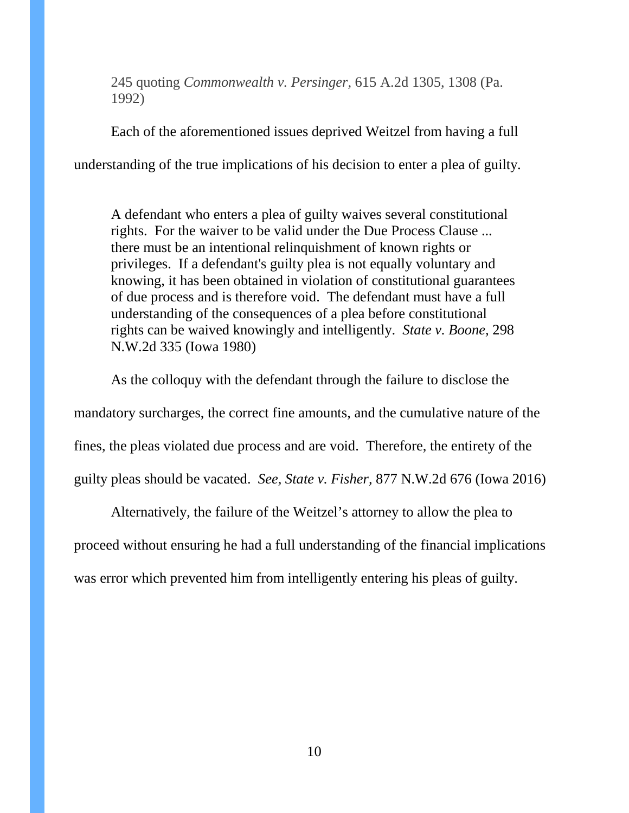245 quoting *Commonwealth v. Persinger,* 615 A.2d 1305, 1308 (Pa. 1992)

Each of the aforementioned issues deprived Weitzel from having a full understanding of the true implications of his decision to enter a plea of guilty.

A defendant who enters a plea of guilty waives several constitutional rights. For the waiver to be valid under the Due Process Clause ... there must be an intentional relinquishment of known rights or privileges. If a defendant's guilty plea is not equally voluntary and knowing, it has been obtained in violation of constitutional guarantees of due process and is therefore void. The defendant must have a full understanding of the consequences of a plea before constitutional rights can be waived knowingly and intelligently. *State v. Boone,* 298 N.W.2d 335 (Iowa 1980)

As the colloquy with the defendant through the failure to disclose the mandatory surcharges, the correct fine amounts, and the cumulative nature of the fines, the pleas violated due process and are void. Therefore, the entirety of the guilty pleas should be vacated. *See, State v. Fisher,* 877 N.W.2d 676 (Iowa 2016)

Alternatively, the failure of the Weitzel's attorney to allow the plea to proceed without ensuring he had a full understanding of the financial implications was error which prevented him from intelligently entering his pleas of guilty.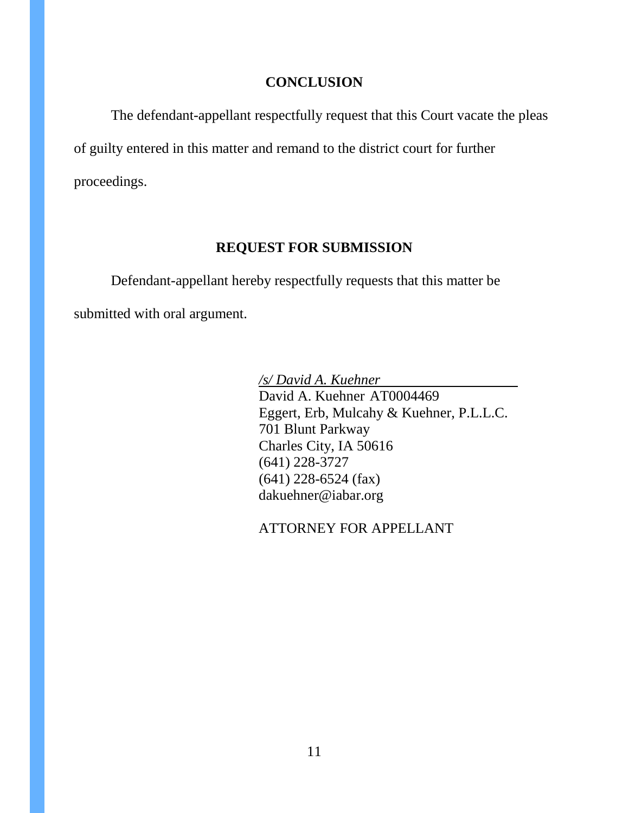### **CONCLUSION**

The defendant-appellant respectfully request that this Court vacate the pleas of guilty entered in this matter and remand to the district court for further proceedings.

## **REQUEST FOR SUBMISSION**

Defendant-appellant hereby respectfully requests that this matter be submitted with oral argument.

> */s/ David A. Kuehner* David A. Kuehner AT0004469 Eggert, Erb, Mulcahy & Kuehner, P.L.L.C. 701 Blunt Parkway Charles City, IA 50616 (641) 228-3727 (641) 228-6524 (fax) dakuehner@iabar.org

ATTORNEY FOR APPELLANT